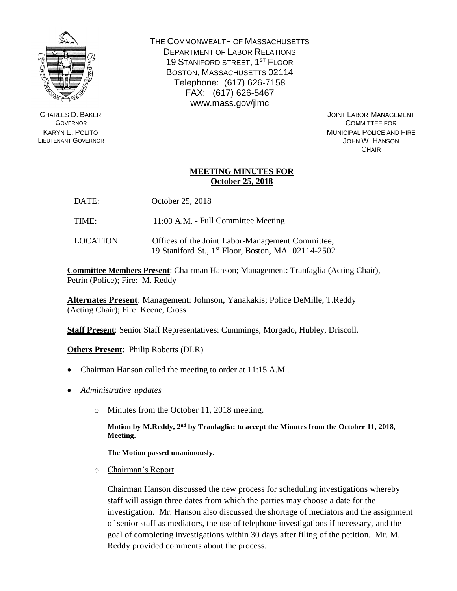

CHARLES D. BAKER **GOVERNOR** KARYN E. POLITO LIEUTENANT GOVERNOR THE COMMONWEALTH OF MASSACHUSETTS DEPARTMENT OF LABOR RELATIONS 19 STANIFORD STREET, 1<sup>ST</sup> FLOOR BOSTON, MASSACHUSETTS 02114 Telephone: (617) 626-7158 FAX: (617) 626-5467 www.mass.gov/jlmc

> JOINT LABOR-MANAGEMENT COMMITTEE FOR MUNICIPAL POLICE AND FIRE JOHN W. HANSON **CHAIR**

## **MEETING MINUTES FOR October 25, 2018**

- DATE: October 25, 2018
- TIME: 11:00 A.M. Full Committee Meeting
- LOCATION: Offices of the Joint Labor-Management Committee, 19 Staniford St., 1 st Floor, Boston, MA 02114-2502

**Committee Members Present**: Chairman Hanson; Management: Tranfaglia (Acting Chair), Petrin (Police); Fire: M. Reddy

**Alternates Present**: Management: Johnson, Yanakakis; Police DeMille, T.Reddy (Acting Chair); Fire: Keene, Cross

**Staff Present**: Senior Staff Representatives: Cummings, Morgado, Hubley, Driscoll.

**Others Present**: Philip Roberts (DLR)

- Chairman Hanson called the meeting to order at 11:15 A.M..
- *Administrative updates*
	- o Minutes from the October 11, 2018 meeting.

Motion by M.Reddy, 2<sup>nd</sup> by Tranfaglia: to accept the Minutes from the October 11, 2018, **Meeting.** 

**The Motion passed unanimously.**

o Chairman's Report

Chairman Hanson discussed the new process for scheduling investigations whereby staff will assign three dates from which the parties may choose a date for the investigation. Mr. Hanson also discussed the shortage of mediators and the assignment of senior staff as mediators, the use of telephone investigations if necessary, and the goal of completing investigations within 30 days after filing of the petition. Mr. M. Reddy provided comments about the process.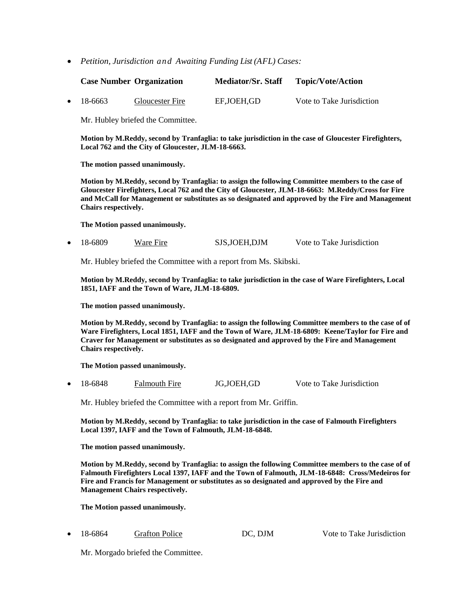*Petition, Jurisdiction and Awaiting Funding List (AFL) Cases:*

|                   | <b>Case Number Organization</b> | <b>Mediator/Sr. Staff</b> | <b>Topic/Vote/Action</b>  |
|-------------------|---------------------------------|---------------------------|---------------------------|
| $\bullet$ 18-6663 | <b>Gloucester Fire</b>          | EF,JOEH,GD                | Vote to Take Jurisdiction |

Mr. Hubley briefed the Committee.

**Motion by M.Reddy, second by Tranfaglia: to take jurisdiction in the case of Gloucester Firefighters, Local 762 and the City of Gloucester, JLM-18-6663.** 

**The motion passed unanimously.** 

**Motion by M.Reddy, second by Tranfaglia: to assign the following Committee members to the case of Gloucester Firefighters, Local 762 and the City of Gloucester, JLM-18-6663: M.Reddy/Cross for Fire and McCall for Management or substitutes as so designated and approved by the Fire and Management Chairs respectively.** 

**The Motion passed unanimously.**

• 18-6809 Ware Fire SJS,JOEH,DJM Vote to Take Jurisdiction

Mr. Hubley briefed the Committee with a report from Ms. Skibski.

**Motion by M.Reddy, second by Tranfaglia: to take jurisdiction in the case of Ware Firefighters, Local 1851, IAFF and the Town of Ware, JLM-18-6809.** 

**The motion passed unanimously.** 

**Motion by M.Reddy, second by Tranfaglia: to assign the following Committee members to the case of of Ware Firefighters, Local 1851, IAFF and the Town of Ware, JLM-18-6809: Keene/Taylor for Fire and Craver for Management or substitutes as so designated and approved by the Fire and Management Chairs respectively.** 

**The Motion passed unanimously.**

• 18-6848 Falmouth Fire JG,JOEH,GD Vote to Take Jurisdiction

Mr. Hubley briefed the Committee with a report from Mr. Griffin.

**Motion by M.Reddy, second by Tranfaglia: to take jurisdiction in the case of Falmouth Firefighters Local 1397, IAFF and the Town of Falmouth, JLM-18-6848.** 

**The motion passed unanimously.** 

**Motion by M.Reddy, second by Tranfaglia: to assign the following Committee members to the case of of Falmouth Firefighters Local 1397, IAFF and the Town of Falmouth, JLM-18-6848: Cross/Medeiros for Fire and Francis for Management or substitutes as so designated and approved by the Fire and Management Chairs respectively.** 

**The Motion passed unanimously.**

18-6864 Grafton Police DC, DJM Vote to Take Jurisdiction

Mr. Morgado briefed the Committee.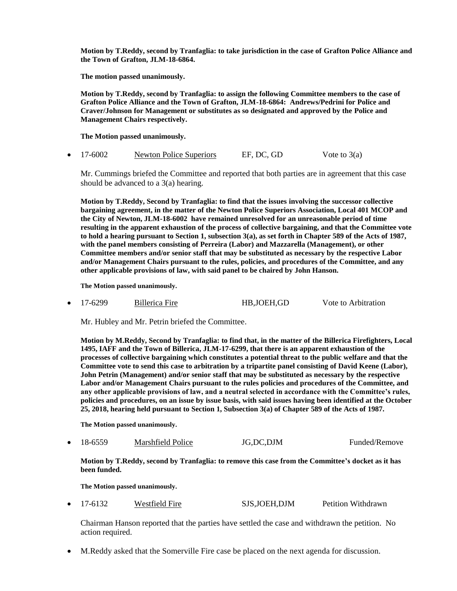**Motion by T.Reddy, second by Tranfaglia: to take jurisdiction in the case of Grafton Police Alliance and the Town of Grafton, JLM-18-6864.** 

**The motion passed unanimously.** 

**Motion by T.Reddy, second by Tranfaglia: to assign the following Committee members to the case of Grafton Police Alliance and the Town of Grafton, JLM-18-6864: Andrews/Pedrini for Police and Craver/Johnson for Management or substitutes as so designated and approved by the Police and Management Chairs respectively.** 

**The Motion passed unanimously.**

|  | $\bullet$ 17-6002 | Newton Police Superiors | EF, DC, GD | Vote to $3(a)$ |
|--|-------------------|-------------------------|------------|----------------|
|--|-------------------|-------------------------|------------|----------------|

Mr. Cummings briefed the Committee and reported that both parties are in agreement that this case should be advanced to a 3(a) hearing.

**Motion by T.Reddy, Second by Tranfaglia: to find that the issues involving the successor collective bargaining agreement, in the matter of the Newton Police Superiors Association, Local 401 MCOP and the City of Newton, JLM-18-6002 have remained unresolved for an unreasonable period of time resulting in the apparent exhaustion of the process of collective bargaining, and that the Committee vote to hold a hearing pursuant to Section 1, subsection 3(a), as set forth in Chapter 589 of the Acts of 1987, with the panel members consisting of Perreira (Labor) and Mazzarella (Management), or other Committee members and/or senior staff that may be substituted as necessary by the respective Labor and/or Management Chairs pursuant to the rules, policies, and procedures of the Committee, and any other applicable provisions of law, with said panel to be chaired by John Hanson.**

**The Motion passed unanimously.**

17-6299 Billerica Fire HB,JOEH,GD Vote to Arbitration

Mr. Hubley and Mr. Petrin briefed the Committee.

**Motion by M.Reddy, Second by Tranfaglia: to find that, in the matter of the Billerica Firefighters, Local 1495, IAFF and the Town of Billerica, JLM-17-6299, that there is an apparent exhaustion of the processes of collective bargaining which constitutes a potential threat to the public welfare and that the Committee vote to send this case to arbitration by a tripartite panel consisting of David Keene (Labor), John Petrin (Management) and/or senior staff that may be substituted as necessary by the respective Labor and/or Management Chairs pursuant to the rules policies and procedures of the Committee, and any other applicable provisions of law, and a neutral selected in accordance with the Committee's rules, policies and procedures, on an issue by issue basis, with said issues having been identified at the October 25, 2018, hearing held pursuant to Section 1, Subsection 3(a) of Chapter 589 of the Acts of 1987.**

**The Motion passed unanimously.**

18-6559 Marshfield Police JG,DC,DJM Funded/Remove

**Motion by T.Reddy, second by Tranfaglia: to remove this case from the Committee's docket as it has been funded.**

**The Motion passed unanimously.**

17-6132 Westfield Fire SJS,JOEH,DJM Petition Withdrawn

Chairman Hanson reported that the parties have settled the case and withdrawn the petition. No action required.

M.Reddy asked that the Somerville Fire case be placed on the next agenda for discussion.